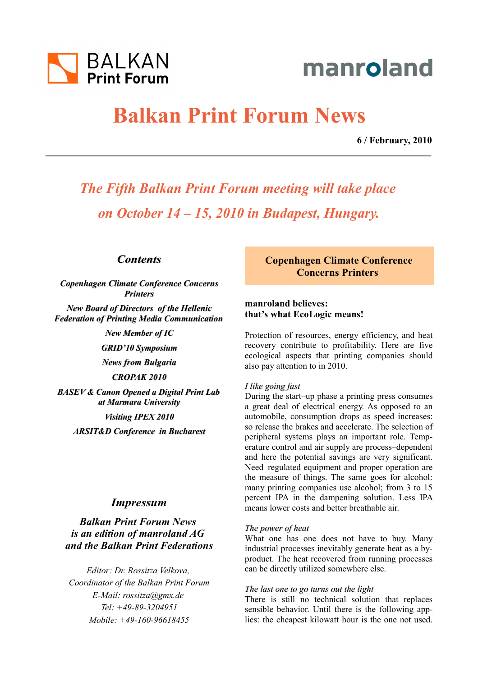

# manroland

# **Balkan Print Forum News**

**\_\_\_\_\_\_\_\_\_\_\_\_\_\_\_\_\_\_\_\_\_\_\_\_\_\_\_\_\_\_\_\_\_\_\_\_\_\_\_\_\_\_\_\_\_\_\_\_\_\_\_\_\_\_\_\_\_\_\_\_\_\_\_\_\_\_\_\_\_\_\_\_\_\_\_\_\_\_\_\_**

 **6 / February, 2010**

*The Fifth Balkan Print Forum meeting will take place on October 14 – 15, 2010 in Budapest, Hungary.*

## *Contents*

*Copenhagen Climate Conference Concerns Printers*

*New Board of Directors of the Hellenic Federation of Printing Media Communication*

*New Member of IC*

*GRID'10 Symposium*

*News from Bulgaria*

*CROPAK 2010*

*BASEV & Canon Opened a Digital Print Lab at Marmara University*

*Visiting IPEX 2010*

*ARSIT&D Conference in Bucharest*

## *Impressum*

*Balkan Print Forum News is an edition of manroland AG and the Balkan Print Federations*

*Editor: Dr. Rossitza Velkova, Coordinator of the Balkan Print Forum E-Mail: rossitza@gmx.de Tel: +49-89-3204951 Mobile: +49-160-96618455*

**Copenhagen Climate Conference Concerns Printers** 

# **manroland believes: that's what EcoLogic means!**

Protection of resources, energy efficiency, and heat recovery contribute to profitability. Here are five ecological aspects that printing companies should also pay attention to in 2010.

### *I like going fast*

During the start–up phase a printing press consumes a great deal of electrical energy. As opposed to an automobile, consumption drops as speed increases: so release the brakes and accelerate. The selection of peripheral systems plays an important role. Temperature control and air supply are process–dependent and here the potential savings are very significant. Need–regulated equipment and proper operation are the measure of things. The same goes for alcohol: many printing companies use alcohol; from 3 to 15 percent IPA in the dampening solution. Less IPA means lower costs and better breathable air.

### *The power of heat*

What one has one does not have to buy. Many industrial processes inevitably generate heat as a byproduct. The heat recovered from running processes can be directly utilized somewhere else.

### *The last one to go turns out the light*

There is still no technical solution that replaces sensible behavior. Until there is the following applies: the cheapest kilowatt hour is the one not used.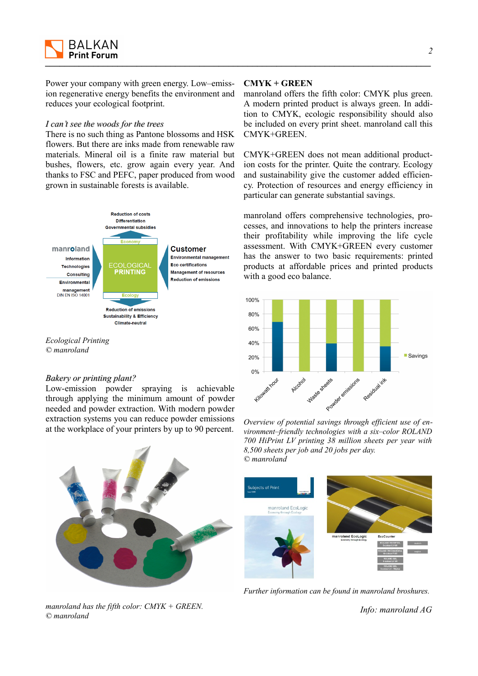

Power your company with green energy. Low–emission regenerative energy benefits the environment and reduces your ecological footprint.

### *I can't see the woods for the trees*

There is no such thing as Pantone blossoms and HSK flowers. But there are inks made from renewable raw materials. Mineral oil is a finite raw material but bushes, flowers, etc. grow again every year. And thanks to FSC and PEFC, paper produced from wood grown in sustainable forests is available.



*Ecological Printing © manroland*

### *Bakery or printing plant?*

Low-emission powder spraying is achievable through applying the minimum amount of powder needed and powder extraction. With modern powder extraction systems you can reduce powder emissions at the workplace of your printers by up to 90 percent.

*manroland has the fifth color: CMYK + GREEN. © manroland*

### **CMYK + GREEN**

manroland offers the fifth color: CMYK plus green. A modern printed product is always green. In addition to CMYK, ecologic responsibility should also be included on every print sheet. manroland call this CMYK+GREEN.

CMYK+GREEN does not mean additional production costs for the printer. Quite the contrary. Ecology and sustainability give the customer added efficiency. Protection of resources and energy efficiency in particular can generate substantial savings.

manroland offers comprehensive technologies, processes, and innovations to help the printers increase their profitability while improving the life cycle assessment. With CMYK+GREEN every customer has the answer to two basic requirements: printed products at affordable prices and printed products with a good eco balance.



*Overview of potential savings through efficient use of environment–friendly technologies with a six–color ROLAND 700 HiPrint LV printing 38 million sheets per year with 8,500 sheets per job and 20 jobs per day. © manroland*



*Further information can be found in manroland broshures.*

*Info: manroland AG*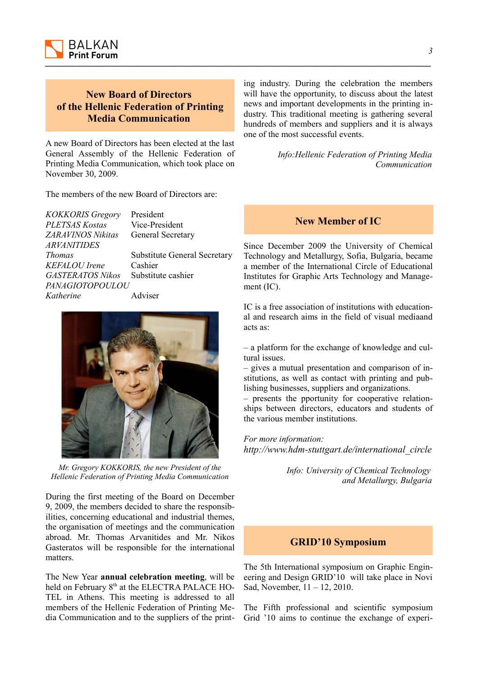

# **New Board of Directors of the Hellenic Federation of Printing Media Communication**

A new Board of Directors has been elected at the last General Assembly of the Hellenic Federation of Printing Media Communication, which took place on November 30, 2009.

The members of the new Board of Directors are:

| <b>KOKKORIS Gregory</b> | President                           |
|-------------------------|-------------------------------------|
| PLETSAS Kostas          | Vice-President                      |
| ZARAVINOS Nikitas       | General Secretary                   |
| <i>ARVANITIDES</i>      |                                     |
| <b>Thomas</b>           | <b>Substitute General Secretary</b> |
| KEFALOU Irene           | Cashier                             |
| <b>GASTERATOS Nikos</b> | Substitute cashier                  |
| <i>PANAGIOTOPOULOU</i>  |                                     |
| Katherine               | Adviser                             |
|                         |                                     |



*Mr. Gregory KOKKORIS, the new President of the Hellenic Federation of Printing Media Communication*

During the first meeting of the Board on December 9, 2009, the members decided to share the responsibilities, concerning educational and industrial themes, the organisation of meetings and the communication abroad. Mr. Thomas Arvanitides and Mr. Nikos Gasteratos will be responsible for the international matters.

The New Year **annual celebration meeting**, will be held on February 8<sup>th</sup> at the ELECTRA PALACE HO-TEL in Athens. This meeting is addressed to all members of the Hellenic Federation of Printing Media Communication and to the suppliers of the printing industry. During the celebration the members will have the opportunity, to discuss about the latest news and important developments in the printing industry. This traditional meeting is gathering several hundreds of members and suppliers and it is always one of the most successful events.

> *Info:Hellenic Federation of Printing Media Communication*

## **New Member of IC**

Since December 2009 the University of Chemical Technology and Metallurgy, Sofia, Bulgaria, became a member of the International Circle of Educational Institutes for Graphic Arts Technology and Management (IC).

IC is a free association of institutions with educational and research aims in the field of visual mediaand acts as:

– a platform for the exchange of knowledge and cultural issues.

– gives a mutual presentation and comparison of institutions, as well as contact with printing and publishing businesses, suppliers and organizations.

– presents the pportunity for cooperative relationships between directors, educators and students of the various member institutions.

*For more information: http://www.hdm-stuttgart.de/international\_circle*

> *Info: University of Chemical Technology and Metallurgy, Bulgaria*

# **GRID'10 Symposium**

The 5th International symposium on Graphic Engineering and Design GRID'10 will take place in Novi Sad, November, 11 – 12, 2010.

The Fifth professional and scientific symposium Grid '10 aims to continue the exchange of experi-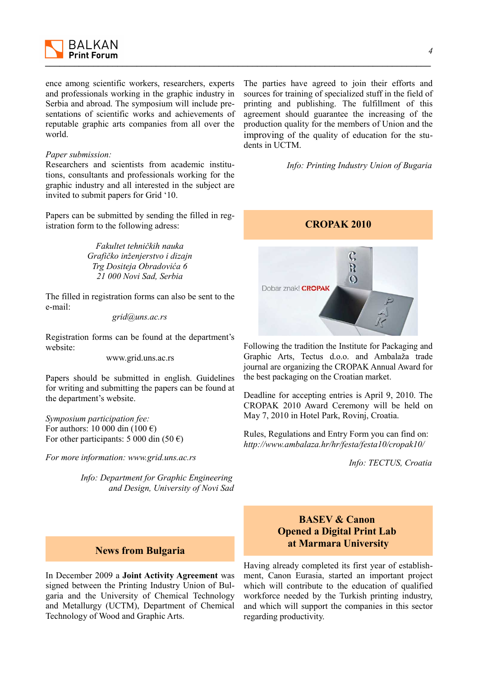

ence among scientific workers, researchers, experts and professionals working in the graphic industry in Serbia and abroad. The symposium will include presentations of scientific works and achievements of reputable graphic arts companies from all over the world.

### *Paper submission:*

Researchers and scientists from academic institutions, consultants and professionals working for the graphic industry and all interested in the subject are invited to submit papers for Grid '10.

Papers can be submitted by sending the filled in registration form to the following adress:

> *Fakultet tehničkih nauka Grafičko inženjerstvo i dizajn Trg Dositeja Obradovića 6 21 000 Novi Sad, Serbia*

The filled in registration forms can also be sent to the e-mail:

*grid@uns.ac.rs*

Registration forms can be found at the department's website:

www.grid.uns.ac.rs

Papers should be submitted in english. Guidelines for writing and submitting the papers can be found at the department's website.

*Symposium participation fee:* For authors: 10 000 din (100  $\epsilon$ ) For other participants: 5 000 din (50  $\epsilon$ )

*For more information: www.grid.uns.ac.rs*

*Info: Department for Graphic Engineering and Design, University of Novi Sad*

### **News from Bulgaria**

In December 2009 a **Joint Activity Agreement** was signed between the Printing Industry Union of Bulgaria and the University of Chemical Technology and Metallurgy (UCTM), Department of Chemical Technology of Wood and Graphic Arts.

The parties have agreed to join their efforts and sources for training of specialized stuff in the field of printing and publishing. The fulfillment of this agreement should guarantee the increasing of the production quality for the members of Union and the improving of the quality of education for the students in UCTM.

*Info: Printing Industry Union of Bugaria*



Following the tradition the Institute for Packaging and Graphic Arts, Tectus d.o.o. and Ambalaža trade journal are organizing the CROPAK Annual Award for the best packaging on the Croatian market.

Deadline for accepting entries is April 9, 2010. The CROPAK 2010 Award Ceremony will be held on May 7, 2010 in Hotel Park, Rovinj, Croatia.

Rules, Regulations and Entry Form you can find on: *http://www.ambalaza.hr/hr/festa/festa10/cropak10/*

*Info: TECTUS, Croatia*

# **BASEV & Canon Opened a Digital Print Lab at Marmara University**

Having already completed its first year of establishment, Canon Eurasia, started an important project which will contribute to the education of qualified workforce needed by the Turkish printing industry, and which will support the companies in this sector regarding productivity.